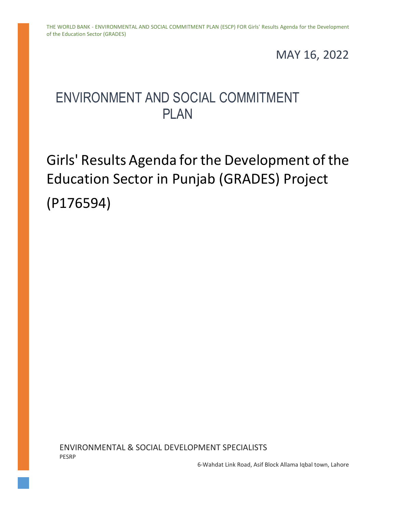## MAY 16, 2022

## ENVIRONMENT AND SOCIAL COMMITMENT PI AN

## Girls' Results Agenda for the Development of the Education Sector in Punjab (GRADES) Project (P176594)

ENVIRONMENTAL & SOCIAL DEVELOPMENT SPECIALISTS PESRP

6-Wahdat Link Road, Asif Block Allama Iqbal town, Lahore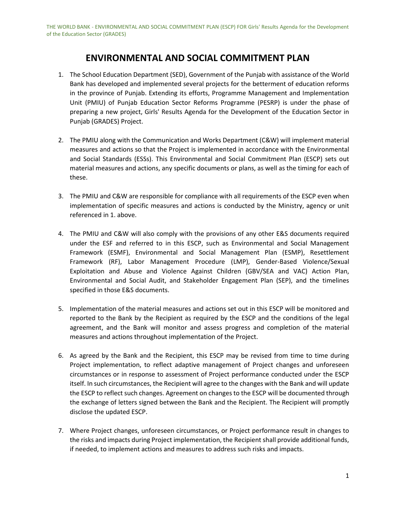## **ENVIRONMENTAL AND SOCIAL COMMITMENT PLAN**

- 1. The School Education Department (SED), Government of the Punjab with assistance of the World Bank has developed and implemented several projects for the betterment of education reforms in the province of Punjab. Extending its efforts, Programme Management and Implementation Unit (PMIU) of Punjab Education Sector Reforms Programme (PESRP) is under the phase of preparing a new project, Girls' Results Agenda for the Development of the Education Sector in Punjab (GRADES) Project.
- 2. The PMIU along with the Communication and Works Department (C&W) will implement material measures and actions so that the Project is implemented in accordance with the Environmental and Social Standards (ESSs). This Environmental and Social Commitment Plan (ESCP) sets out material measures and actions, any specific documents or plans, as well as the timing for each of these.
- 3. The PMIU and C&W are responsible for compliance with all requirements of the ESCP even when implementation of specific measures and actions is conducted by the Ministry, agency or unit referenced in 1. above.
- 4. The PMIU and C&W will also comply with the provisions of any other E&S documents required under the ESF and referred to in this ESCP, such as Environmental and Social Management Framework (ESMF), Environmental and Social Management Plan (ESMP), Resettlement Framework (RF), Labor Management Procedure (LMP), Gender-Based Violence/Sexual Exploitation and Abuse and Violence Against Children (GBV/SEA and VAC) Action Plan, Environmental and Social Audit, and Stakeholder Engagement Plan (SEP), and the timelines specified in those E&S documents.
- 5. Implementation of the material measures and actions set out in this ESCP will be monitored and reported to the Bank by the Recipient as required by the ESCP and the conditions of the legal agreement, and the Bank will monitor and assess progress and completion of the material measures and actions throughout implementation of the Project.
- 6. As agreed by the Bank and the Recipient, this ESCP may be revised from time to time during Project implementation, to reflect adaptive management of Project changes and unforeseen circumstances or in response to assessment of Project performance conducted under the ESCP itself. In such circumstances, the Recipient will agree to the changes with the Bank and will update the ESCP to reflect such changes. Agreement on changes to the ESCP will be documented through the exchange of letters signed between the Bank and the Recipient. The Recipient will promptly disclose the updated ESCP.
- 7. Where Project changes, unforeseen circumstances, or Project performance result in changes to the risks and impacts during Project implementation, the Recipient shall provide additional funds, if needed, to implement actions and measures to address such risks and impacts.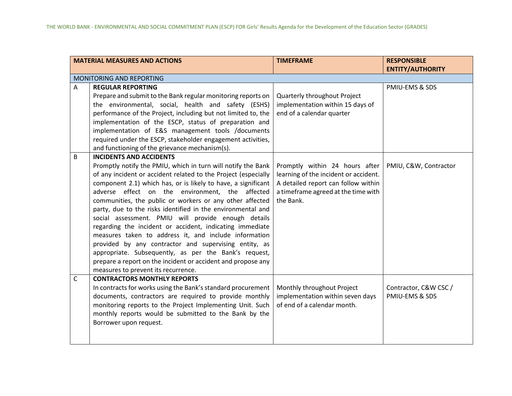|             | <b>MATERIAL MEASURES AND ACTIONS</b>                                                                                                                                                                                                                                                                                                                                                                                                                                                                                                                                                                                                                                                                                                                                                                                 | <b>TIMEFRAME</b>                                                                                                                                                   | <b>RESPONSIBLE</b><br><b>ENTITY/AUTHORITY</b> |
|-------------|----------------------------------------------------------------------------------------------------------------------------------------------------------------------------------------------------------------------------------------------------------------------------------------------------------------------------------------------------------------------------------------------------------------------------------------------------------------------------------------------------------------------------------------------------------------------------------------------------------------------------------------------------------------------------------------------------------------------------------------------------------------------------------------------------------------------|--------------------------------------------------------------------------------------------------------------------------------------------------------------------|-----------------------------------------------|
|             | MONITORING AND REPORTING                                                                                                                                                                                                                                                                                                                                                                                                                                                                                                                                                                                                                                                                                                                                                                                             |                                                                                                                                                                    |                                               |
| Α           | <b>REGULAR REPORTING</b><br>Prepare and submit to the Bank regular monitoring reports on<br>the environmental, social, health and safety (ESHS)<br>performance of the Project, including but not limited to, the<br>implementation of the ESCP, status of preparation and<br>implementation of E&S management tools /documents<br>required under the ESCP, stakeholder engagement activities,<br>and functioning of the grievance mechanism(s).                                                                                                                                                                                                                                                                                                                                                                      | Quarterly throughout Project<br>implementation within 15 days of<br>end of a calendar quarter                                                                      | PMIU-EMS & SDS                                |
| B           | <b>INCIDENTS AND ACCIDENTS</b><br>Promptly notify the PMIU, which in turn will notify the Bank<br>of any incident or accident related to the Project (especially<br>component 2.1) which has, or is likely to have, a significant<br>adverse effect on the environment, the affected<br>communities, the public or workers or any other affected<br>party, due to the risks identified in the environmental and<br>social assessment. PMIU will provide enough details<br>regarding the incident or accident, indicating immediate<br>measures taken to address it, and include information<br>provided by any contractor and supervising entity, as<br>appropriate. Subsequently, as per the Bank's request,<br>prepare a report on the incident or accident and propose any<br>measures to prevent its recurrence. | Promptly within 24 hours after<br>learning of the incident or accident.<br>A detailed report can follow within<br>a timeframe agreed at the time with<br>the Bank. | PMIU, C&W, Contractor                         |
| $\mathsf C$ | <b>CONTRACTORS MONTHLY REPORTS</b><br>In contracts for works using the Bank's standard procurement<br>documents, contractors are required to provide monthly<br>monitoring reports to the Project Implementing Unit. Such<br>monthly reports would be submitted to the Bank by the<br>Borrower upon request.                                                                                                                                                                                                                                                                                                                                                                                                                                                                                                         | Monthly throughout Project<br>implementation within seven days<br>of end of a calendar month.                                                                      | Contractor, C&W CSC /<br>PMIU-EMS & SDS       |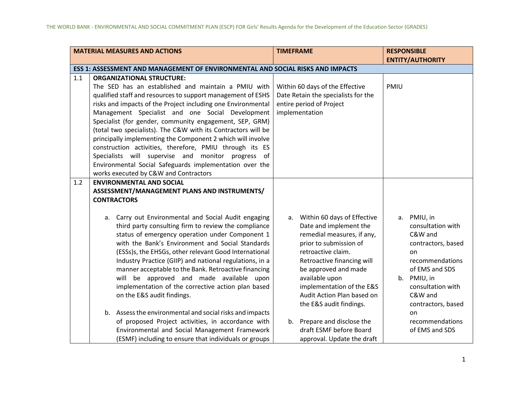|     | <b>MATERIAL MEASURES AND ACTIONS</b>                                                                                                                                                                                                                                                                                                                                                                                                                                                                                                                                                                                                                                                                                                                       | <b>TIMEFRAME</b>                                                                                                                                                                                                                                                                                                                    | <b>RESPONSIBLE</b>                                                                                                                                                                                         |
|-----|------------------------------------------------------------------------------------------------------------------------------------------------------------------------------------------------------------------------------------------------------------------------------------------------------------------------------------------------------------------------------------------------------------------------------------------------------------------------------------------------------------------------------------------------------------------------------------------------------------------------------------------------------------------------------------------------------------------------------------------------------------|-------------------------------------------------------------------------------------------------------------------------------------------------------------------------------------------------------------------------------------------------------------------------------------------------------------------------------------|------------------------------------------------------------------------------------------------------------------------------------------------------------------------------------------------------------|
|     |                                                                                                                                                                                                                                                                                                                                                                                                                                                                                                                                                                                                                                                                                                                                                            |                                                                                                                                                                                                                                                                                                                                     | <b>ENTITY/AUTHORITY</b>                                                                                                                                                                                    |
|     | ESS 1: ASSESSMENT AND MANAGEMENT OF ENVIRONMENTAL AND SOCIAL RISKS AND IMPACTS                                                                                                                                                                                                                                                                                                                                                                                                                                                                                                                                                                                                                                                                             |                                                                                                                                                                                                                                                                                                                                     |                                                                                                                                                                                                            |
| 1.1 | <b>ORGANIZATIONAL STRUCTURE:</b><br>The SED has an established and maintain a PMIU with<br>qualified staff and resources to support management of ESHS<br>risks and impacts of the Project including one Environmental<br>Management Specialist and one Social Development<br>Specialist (for gender, community engagement, SEP, GRM)<br>(total two specialists). The C&W with its Contractors will be<br>principally implementing the Component 2 which will involve<br>construction activities, therefore, PMIU through its ES<br>Specialists will supervise and monitor progress of<br>Environmental Social Safeguards implementation over the<br>works executed by C&W and Contractors                                                                 | Within 60 days of the Effective<br>Date Retain the specialists for the<br>entire period of Project<br>implementation                                                                                                                                                                                                                | PMIU                                                                                                                                                                                                       |
| 1.2 | <b>ENVIRONMENTAL AND SOCIAL</b><br>ASSESSMENT/MANAGEMENT PLANS AND INSTRUMENTS/<br><b>CONTRACTORS</b><br>a. Carry out Environmental and Social Audit engaging<br>third party consulting firm to review the compliance<br>status of emergency operation under Component 1<br>with the Bank's Environment and Social Standards<br>(ESSs)s, the EHSGs, other relevant Good International<br>Industry Practice (GIIP) and national regulations, in a<br>manner acceptable to the Bank. Retroactive financing<br>will be approved and made available upon<br>implementation of the corrective action plan based<br>on the E&S audit findings.<br>b. Assess the environmental and social risks and impacts<br>of proposed Project activities, in accordance with | a. Within 60 days of Effective<br>Date and implement the<br>remedial measures, if any,<br>prior to submission of<br>retroactive claim.<br>Retroactive financing will<br>be approved and made<br>available upon<br>implementation of the E&S<br>Audit Action Plan based on<br>the E&S audit findings.<br>b. Prepare and disclose the | a. PMIU, in<br>consultation with<br>C&W and<br>contractors, based<br>on<br>recommendations<br>of EMS and SDS<br>b. PMIU, in<br>consultation with<br>C&W and<br>contractors, based<br>on<br>recommendations |
|     | Environmental and Social Management Framework<br>(ESMF) including to ensure that individuals or groups                                                                                                                                                                                                                                                                                                                                                                                                                                                                                                                                                                                                                                                     | draft ESMF before Board<br>approval. Update the draft                                                                                                                                                                                                                                                                               | of EMS and SDS                                                                                                                                                                                             |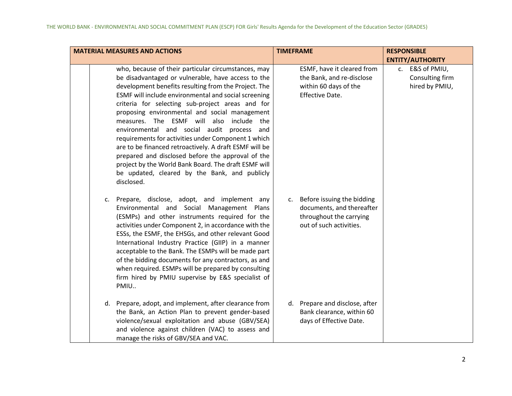| <b>MATERIAL MEASURES AND ACTIONS</b>                                                                                                                                                                                                                                                                                                                                                                                                                                                                                                                                                                                                                                                                                        | <b>TIMEFRAME</b>                                                                                                    | <b>RESPONSIBLE</b>                                   |
|-----------------------------------------------------------------------------------------------------------------------------------------------------------------------------------------------------------------------------------------------------------------------------------------------------------------------------------------------------------------------------------------------------------------------------------------------------------------------------------------------------------------------------------------------------------------------------------------------------------------------------------------------------------------------------------------------------------------------------|---------------------------------------------------------------------------------------------------------------------|------------------------------------------------------|
|                                                                                                                                                                                                                                                                                                                                                                                                                                                                                                                                                                                                                                                                                                                             |                                                                                                                     | <b>ENTITY/AUTHORITY</b>                              |
| who, because of their particular circumstances, may<br>be disadvantaged or vulnerable, have access to the<br>development benefits resulting from the Project. The<br>ESMF will include environmental and social screening<br>criteria for selecting sub-project areas and for<br>proposing environmental and social management<br>measures. The ESMF will also<br>include the<br>environmental and social audit<br>process and<br>requirements for activities under Component 1 which<br>are to be financed retroactively. A draft ESMF will be<br>prepared and disclosed before the approval of the<br>project by the World Bank Board. The draft ESMF will<br>be updated, cleared by the Bank, and publicly<br>disclosed. | ESMF, have it cleared from<br>the Bank, and re-disclose<br>within 60 days of the<br>Effective Date.                 | c. E&S of PMIU,<br>Consulting firm<br>hired by PMIU, |
| c. Prepare, disclose, adopt, and implement any<br>Environmental and Social Management Plans<br>(ESMPs) and other instruments required for the<br>activities under Component 2, in accordance with the<br>ESSs, the ESMF, the EHSGs, and other relevant Good<br>International Industry Practice (GIIP) in a manner<br>acceptable to the Bank. The ESMPs will be made part<br>of the bidding documents for any contractors, as and<br>when required. ESMPs will be prepared by consulting<br>firm hired by PMIU supervise by E&S specialist of<br>PMIU                                                                                                                                                                        | Before issuing the bidding<br>c.<br>documents, and thereafter<br>throughout the carrying<br>out of such activities. |                                                      |
| d. Prepare, adopt, and implement, after clearance from<br>the Bank, an Action Plan to prevent gender-based<br>violence/sexual exploitation and abuse (GBV/SEA)<br>and violence against children (VAC) to assess and<br>manage the risks of GBV/SEA and VAC.                                                                                                                                                                                                                                                                                                                                                                                                                                                                 | d. Prepare and disclose, after<br>Bank clearance, within 60<br>days of Effective Date.                              |                                                      |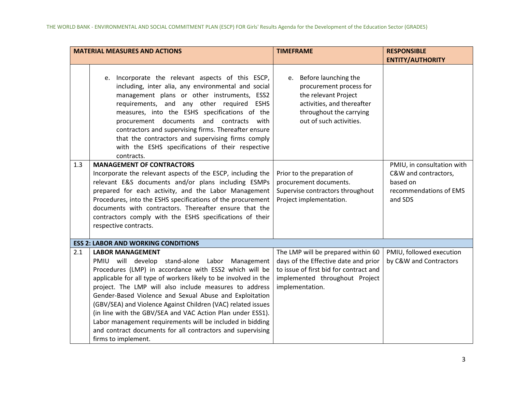|     | <b>MATERIAL MEASURES AND ACTIONS</b>                                                                                                                                                                                                                                                                                                                                                                                                                                                                                                                                                                        | <b>TIMEFRAME</b>                                                                                                                                                          | <b>RESPONSIBLE</b>                                                                                  |
|-----|-------------------------------------------------------------------------------------------------------------------------------------------------------------------------------------------------------------------------------------------------------------------------------------------------------------------------------------------------------------------------------------------------------------------------------------------------------------------------------------------------------------------------------------------------------------------------------------------------------------|---------------------------------------------------------------------------------------------------------------------------------------------------------------------------|-----------------------------------------------------------------------------------------------------|
|     |                                                                                                                                                                                                                                                                                                                                                                                                                                                                                                                                                                                                             |                                                                                                                                                                           | <b>ENTITY/AUTHORITY</b>                                                                             |
|     | e. Incorporate the relevant aspects of this ESCP,<br>including, inter alia, any environmental and social<br>management plans or other instruments, ESS2<br>requirements, and any other required<br><b>ESHS</b><br>measures, into the ESHS specifications of the<br>procurement documents and<br>contracts<br>with<br>contractors and supervising firms. Thereafter ensure<br>that the contractors and supervising firms comply<br>with the ESHS specifications of their respective<br>contracts.                                                                                                            | e. Before launching the<br>procurement process for<br>the relevant Project<br>activities, and thereafter<br>throughout the carrying<br>out of such activities.            |                                                                                                     |
| 1.3 | <b>MANAGEMENT OF CONTRACTORS</b><br>Incorporate the relevant aspects of the ESCP, including the<br>relevant E&S documents and/or plans including ESMPs<br>prepared for each activity, and the Labor Management<br>Procedures, into the ESHS specifications of the procurement<br>documents with contractors. Thereafter ensure that the<br>contractors comply with the ESHS specifications of their<br>respective contracts.                                                                                                                                                                                | Prior to the preparation of<br>procurement documents.<br>Supervise contractors throughout<br>Project implementation.                                                      | PMIU, in consultation with<br>C&W and contractors,<br>based on<br>recommendations of EMS<br>and SDS |
|     | <b>ESS 2: LABOR AND WORKING CONDITIONS</b>                                                                                                                                                                                                                                                                                                                                                                                                                                                                                                                                                                  |                                                                                                                                                                           |                                                                                                     |
| 2.1 | <b>LABOR MANAGEMENT</b><br>PMIU will develop stand-alone Labor Management<br>Procedures (LMP) in accordance with ESS2 which will be<br>applicable for all type of workers likely to be involved in the<br>project. The LMP will also include measures to address<br>Gender-Based Violence and Sexual Abuse and Exploitation<br>(GBV/SEA) and Violence Against Children (VAC) related issues<br>(in line with the GBV/SEA and VAC Action Plan under ESS1).<br>Labor management requirements will be included in bidding<br>and contract documents for all contractors and supervising<br>firms to implement. | The LMP will be prepared within 60<br>days of the Effective date and prior<br>to issue of first bid for contract and<br>implemented throughout Project<br>implementation. | PMIU, followed execution<br>by C&W and Contractors                                                  |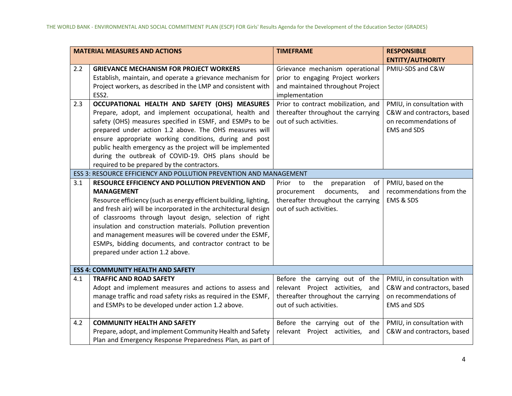|     | <b>MATERIAL MEASURES AND ACTIONS</b>                                                                                                                                                                                                                                                                                                                                                                                                                                                              | <b>TIMEFRAME</b>                                                                                                                             | <b>RESPONSIBLE</b>                                                                                      |
|-----|---------------------------------------------------------------------------------------------------------------------------------------------------------------------------------------------------------------------------------------------------------------------------------------------------------------------------------------------------------------------------------------------------------------------------------------------------------------------------------------------------|----------------------------------------------------------------------------------------------------------------------------------------------|---------------------------------------------------------------------------------------------------------|
|     |                                                                                                                                                                                                                                                                                                                                                                                                                                                                                                   |                                                                                                                                              | <b>ENTITY/AUTHORITY</b>                                                                                 |
| 2.2 | <b>GRIEVANCE MECHANISM FOR PROJECT WORKERS</b><br>Establish, maintain, and operate a grievance mechanism for<br>Project workers, as described in the LMP and consistent with<br>ESS2.                                                                                                                                                                                                                                                                                                             | Grievance mechanism operational<br>prior to engaging Project workers<br>and maintained throughout Project<br>implementation                  | PMIU-SDS and C&W                                                                                        |
| 2.3 | OCCUPATIONAL HEALTH AND SAFETY (OHS) MEASURES<br>Prepare, adopt, and implement occupational, health and<br>safety (OHS) measures specified in ESMF, and ESMPs to be<br>prepared under action 1.2 above. The OHS measures will<br>ensure appropriate working conditions, during and post<br>public health emergency as the project will be implemented<br>during the outbreak of COVID-19. OHS plans should be<br>required to be prepared by the contractors.                                      | Prior to contract mobilization, and<br>thereafter throughout the carrying<br>out of such activities.                                         | PMIU, in consultation with<br>C&W and contractors, based<br>on recommendations of<br><b>EMS and SDS</b> |
|     | ESS 3: RESOURCE EFFICIENCY AND POLLUTION PREVENTION AND MANAGEMENT                                                                                                                                                                                                                                                                                                                                                                                                                                |                                                                                                                                              |                                                                                                         |
| 3.1 | RESOURCE EFFICIENCY AND POLLUTION PREVENTION AND<br><b>MANAGEMENT</b><br>Resource efficiency (such as energy efficient building, lighting,<br>and fresh air) will be incorporated in the architectural design<br>of classrooms through layout design, selection of right<br>insulation and construction materials. Pollution prevention<br>and management measures will be covered under the ESMF,<br>ESMPs, bidding documents, and contractor contract to be<br>prepared under action 1.2 above. | the<br>preparation<br>of<br>Prior<br>to<br>documents,<br>procurement<br>and<br>thereafter throughout the carrying<br>out of such activities. | PMIU, based on the<br>recommendations from the<br>EMS & SDS                                             |
|     | <b>ESS 4: COMMUNITY HEALTH AND SAFETY</b>                                                                                                                                                                                                                                                                                                                                                                                                                                                         |                                                                                                                                              |                                                                                                         |
| 4.1 | <b>TRAFFIC AND ROAD SAFETY</b><br>Adopt and implement measures and actions to assess and<br>manage traffic and road safety risks as required in the ESMF,<br>and ESMPs to be developed under action 1.2 above.                                                                                                                                                                                                                                                                                    | Before the carrying out of the<br>relevant Project activities, and<br>thereafter throughout the carrying<br>out of such activities.          | PMIU, in consultation with<br>C&W and contractors, based<br>on recommendations of<br><b>EMS and SDS</b> |
| 4.2 | <b>COMMUNITY HEALTH AND SAFETY</b><br>Prepare, adopt, and implement Community Health and Safety<br>Plan and Emergency Response Preparedness Plan, as part of                                                                                                                                                                                                                                                                                                                                      | Before the carrying out of the<br>relevant Project activities, and                                                                           | PMIU, in consultation with<br>C&W and contractors, based                                                |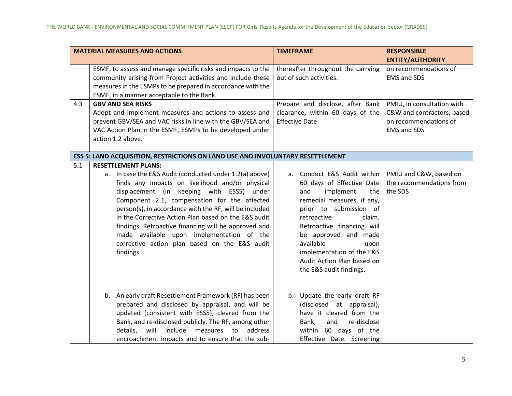|     | <b>MATERIAL MEASURES AND ACTIONS</b>                                                                                                                                                                                                                                                                                                                                                                                                                                                                                       | <b>TIMEFRAME</b>                                                                                                                                                                                                                                                                                                                         | <b>RESPONSIBLE</b>                                                                                      |
|-----|----------------------------------------------------------------------------------------------------------------------------------------------------------------------------------------------------------------------------------------------------------------------------------------------------------------------------------------------------------------------------------------------------------------------------------------------------------------------------------------------------------------------------|------------------------------------------------------------------------------------------------------------------------------------------------------------------------------------------------------------------------------------------------------------------------------------------------------------------------------------------|---------------------------------------------------------------------------------------------------------|
|     |                                                                                                                                                                                                                                                                                                                                                                                                                                                                                                                            |                                                                                                                                                                                                                                                                                                                                          | <b>ENTITY/AUTHORITY</b>                                                                                 |
|     | ESMF, to assess and manage specific risks and impacts to the<br>community arising from Project activities and include these<br>measures in the ESMPs to be prepared in accordance with the<br>ESMF, in a manner acceptable to the Bank.                                                                                                                                                                                                                                                                                    | thereafter throughout the carrying<br>out of such activities.                                                                                                                                                                                                                                                                            | on recommendations of<br><b>EMS and SDS</b>                                                             |
| 4.3 | <b>GBV AND SEA RISKS</b><br>Adopt and implement measures and actions to assess and<br>prevent GBV/SEA and VAC risks in line with the GBV/SEA and<br>VAC Action Plan in the ESMF, ESMPs to be developed under<br>action 1.2 above.                                                                                                                                                                                                                                                                                          | Prepare and disclose, after Bank<br>clearance, within 60 days of the<br><b>Effective Date</b>                                                                                                                                                                                                                                            | PMIU, in consultation with<br>C&W and contractors, based<br>on recommendations of<br><b>EMS and SDS</b> |
|     | ESS 5: LAND ACQUISITION, RESTRICTIONS ON LAND USE AND INVOLUNTARY RESETTLEMENT                                                                                                                                                                                                                                                                                                                                                                                                                                             |                                                                                                                                                                                                                                                                                                                                          |                                                                                                         |
| 5.1 | <b>RESETTLEMENT PLANS:</b><br>a. In case the E&S Audit (conducted under 1.2(a) above)<br>finds any impacts on livelihood and/or physical<br>displacement (in keeping with ESS5) under<br>Component 2.1, compensation for the affected<br>person(s), in accordance with the RF, will be included<br>in the Corrective Action Plan based on the E&S audit<br>findings. Retroactive financing will be approved and<br>made available upon implementation of the<br>corrective action plan based on the E&S audit<br>findings. | Conduct E&S Audit within<br>a.<br>60 days of Effective Date<br>implement<br>and<br>the<br>remedial measures, if any,<br>prior to submission of<br>retroactive<br>claim.<br>Retroactive financing will<br>be approved and made<br>available<br>upon<br>implementation of the E&S<br>Audit Action Plan based on<br>the E&S audit findings. | PMIU and C&W, based on<br>the recommendations from<br>the SDS                                           |
|     | b. An early draft Resettlement Framework (RF) has been<br>prepared and disclosed by appraisal, and will be<br>updated (consistent with ESS5), cleared from the<br>Bank, and re-disclosed publicly. The RF, among other<br>include<br>details,<br>will<br>measures<br>to<br>address<br>encroachment impacts and to ensure that the sub-                                                                                                                                                                                     | b. Update the early draft RF<br>(disclosed at appraisal),<br>have it cleared from the<br>Bank,<br>and<br>re-disclose<br>within 60 days of the<br>Effective Date. Screening                                                                                                                                                               |                                                                                                         |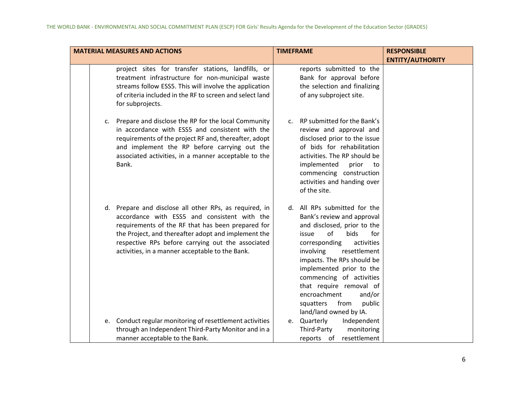| <b>MATERIAL MEASURES AND ACTIONS</b>                                                                                                                                                                                                                                                                                       | <b>TIMEFRAME</b>                                                                                                                                                                                                                                                                                                                                                                        | <b>RESPONSIBLE</b>      |
|----------------------------------------------------------------------------------------------------------------------------------------------------------------------------------------------------------------------------------------------------------------------------------------------------------------------------|-----------------------------------------------------------------------------------------------------------------------------------------------------------------------------------------------------------------------------------------------------------------------------------------------------------------------------------------------------------------------------------------|-------------------------|
|                                                                                                                                                                                                                                                                                                                            |                                                                                                                                                                                                                                                                                                                                                                                         | <b>ENTITY/AUTHORITY</b> |
| project sites for transfer stations, landfills, or<br>treatment infrastructure for non-municipal waste<br>streams follow ESS5. This will involve the application<br>of criteria included in the RF to screen and select land<br>for subprojects.                                                                           | reports submitted to the<br>Bank for approval before<br>the selection and finalizing<br>of any subproject site.                                                                                                                                                                                                                                                                         |                         |
| c. Prepare and disclose the RP for the local Community<br>in accordance with ESS5 and consistent with the<br>requirements of the project RF and, thereafter, adopt<br>and implement the RP before carrying out the<br>associated activities, in a manner acceptable to the<br>Bank.                                        | c. RP submitted for the Bank's<br>review and approval and<br>disclosed prior to the issue<br>of bids for rehabilitation<br>activities. The RP should be<br>implemented<br>prior<br>to<br>commencing construction<br>activities and handing over<br>of the site.                                                                                                                         |                         |
| d. Prepare and disclose all other RPs, as required, in<br>accordance with ESS5 and consistent with the<br>requirements of the RF that has been prepared for<br>the Project, and thereafter adopt and implement the<br>respective RPs before carrying out the associated<br>activities, in a manner acceptable to the Bank. | d. All RPs submitted for the<br>Bank's review and approval<br>and disclosed, prior to the<br>of<br>bids<br>for<br>issue<br>corresponding<br>activities<br>resettlement<br>involving<br>impacts. The RPs should be<br>implemented prior to the<br>commencing of activities<br>that require removal of<br>encroachment<br>and/or<br>from<br>public<br>squatters<br>land/land owned by IA. |                         |
| e. Conduct regular monitoring of resettlement activities<br>through an Independent Third-Party Monitor and in a<br>manner acceptable to the Bank.                                                                                                                                                                          | e. Quarterly<br>Independent<br>Third-Party<br>monitoring<br>resettlement<br>reports of                                                                                                                                                                                                                                                                                                  |                         |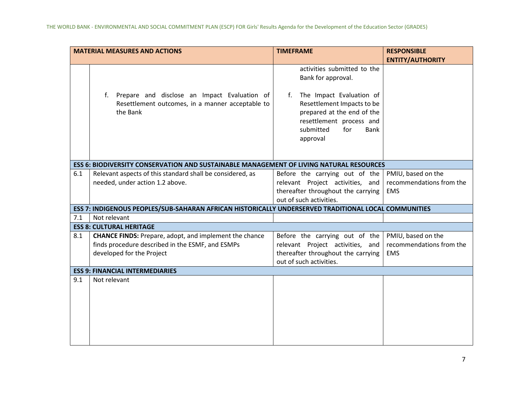|                                        | <b>MATERIAL MEASURES AND ACTIONS</b>                                                                                                           | <b>TIMEFRAME</b>                                                                                                                                                                                        | <b>RESPONSIBLE</b>                                           |  |
|----------------------------------------|------------------------------------------------------------------------------------------------------------------------------------------------|---------------------------------------------------------------------------------------------------------------------------------------------------------------------------------------------------------|--------------------------------------------------------------|--|
|                                        |                                                                                                                                                |                                                                                                                                                                                                         | <b>ENTITY/AUTHORITY</b>                                      |  |
|                                        | Prepare and disclose an Impact Evaluation of<br>f.<br>Resettlement outcomes, in a manner acceptable to<br>the Bank                             | activities submitted to the<br>Bank for approval.<br>The Impact Evaluation of<br>f.<br>Resettlement Impacts to be<br>prepared at the end of the<br>resettlement process and<br>for<br>submitted<br>Bank |                                                              |  |
|                                        |                                                                                                                                                | approval                                                                                                                                                                                                |                                                              |  |
|                                        | <b>ESS 6: BIODIVERSITY CONSERVATION AND SUSTAINABLE MANAGEMENT OF LIVING NATURAL RESOURCES</b>                                                 |                                                                                                                                                                                                         |                                                              |  |
| 6.1                                    | Relevant aspects of this standard shall be considered, as<br>needed, under action 1.2 above.                                                   | Before the carrying out of the<br>relevant Project activities, and<br>thereafter throughout the carrying<br>out of such activities.                                                                     | PMIU, based on the<br>recommendations from the<br><b>EMS</b> |  |
|                                        | ESS 7: INDIGENOUS PEOPLES/SUB-SAHARAN AFRICAN HISTORICALLY UNDERSERVED TRADITIONAL LOCAL COMMUNITIES                                           |                                                                                                                                                                                                         |                                                              |  |
| 7.1                                    | Not relevant                                                                                                                                   |                                                                                                                                                                                                         |                                                              |  |
|                                        | <b>ESS 8: CULTURAL HERITAGE</b>                                                                                                                |                                                                                                                                                                                                         |                                                              |  |
| 8.1                                    | <b>CHANCE FINDS:</b> Prepare, adopt, and implement the chance<br>finds procedure described in the ESMF, and ESMPs<br>developed for the Project | Before the carrying out of the<br>relevant Project activities, and<br>thereafter throughout the carrying<br>out of such activities.                                                                     | PMIU, based on the<br>recommendations from the<br><b>EMS</b> |  |
| <b>ESS 9: FINANCIAL INTERMEDIARIES</b> |                                                                                                                                                |                                                                                                                                                                                                         |                                                              |  |
| 9.1                                    | Not relevant                                                                                                                                   |                                                                                                                                                                                                         |                                                              |  |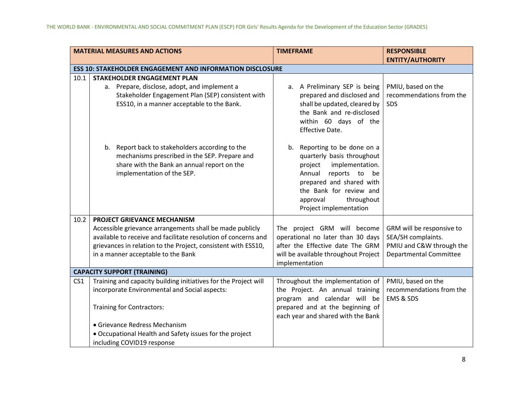|                 | <b>MATERIAL MEASURES AND ACTIONS</b>                                                                                                                                          | <b>TIMEFRAME</b>                                                                                                                                                           | <b>RESPONSIBLE</b>                              |
|-----------------|-------------------------------------------------------------------------------------------------------------------------------------------------------------------------------|----------------------------------------------------------------------------------------------------------------------------------------------------------------------------|-------------------------------------------------|
|                 |                                                                                                                                                                               |                                                                                                                                                                            | <b>ENTITY/AUTHORITY</b>                         |
|                 | <b>ESS 10: STAKEHOLDER ENGAGEMENT AND INFORMATION DISCLOSURE</b>                                                                                                              |                                                                                                                                                                            |                                                 |
| 10.1            | <b>STAKEHOLDER ENGAGEMENT PLAN</b>                                                                                                                                            |                                                                                                                                                                            |                                                 |
|                 | a. Prepare, disclose, adopt, and implement a                                                                                                                                  | a. A Preliminary SEP is being                                                                                                                                              | PMIU, based on the                              |
|                 | Stakeholder Engagement Plan (SEP) consistent with<br>ESS10, in a manner acceptable to the Bank.                                                                               | prepared and disclosed and<br>shall be updated, cleared by<br>the Bank and re-disclosed<br>within 60 days of the<br>Effective Date.                                        | recommendations from the<br><b>SDS</b>          |
|                 | b. Report back to stakeholders according to the<br>mechanisms prescribed in the SEP. Prepare and<br>share with the Bank an annual report on the<br>implementation of the SEP. | b. Reporting to be done on a<br>quarterly basis throughout<br>implementation.<br>project<br>Annual<br>reports to be<br>prepared and shared with<br>the Bank for review and |                                                 |
|                 |                                                                                                                                                                               | throughout<br>approval<br>Project implementation                                                                                                                           |                                                 |
| 10.2            | PROJECT GRIEVANCE MECHANISM                                                                                                                                                   |                                                                                                                                                                            |                                                 |
|                 | Accessible grievance arrangements shall be made publicly<br>available to receive and facilitate resolution of concerns and                                                    | The project GRM will become<br>operational no later than 30 days                                                                                                           | GRM will be responsive to<br>SEA/SH complaints. |
|                 | grievances in relation to the Project, consistent with ESS10,                                                                                                                 | after the Effective date The GRM                                                                                                                                           | PMIU and C&W through the                        |
|                 | in a manner acceptable to the Bank                                                                                                                                            | will be available throughout Project<br>implementation                                                                                                                     | <b>Departmental Committee</b>                   |
|                 | <b>CAPACITY SUPPORT (TRAINING)</b>                                                                                                                                            |                                                                                                                                                                            |                                                 |
| CS <sub>1</sub> | Training and capacity building initiatives for the Project will                                                                                                               | Throughout the implementation of                                                                                                                                           | PMIU, based on the                              |
|                 | incorporate Environmental and Social aspects:                                                                                                                                 | the Project. An annual training<br>program and calendar will be                                                                                                            | recommendations from the<br>EMS & SDS           |
|                 | Training for Contractors:                                                                                                                                                     | prepared and at the beginning of<br>each year and shared with the Bank                                                                                                     |                                                 |
|                 | • Grievance Redress Mechanism                                                                                                                                                 |                                                                                                                                                                            |                                                 |
|                 | • Occupational Health and Safety issues for the project                                                                                                                       |                                                                                                                                                                            |                                                 |
|                 | including COVID19 response                                                                                                                                                    |                                                                                                                                                                            |                                                 |